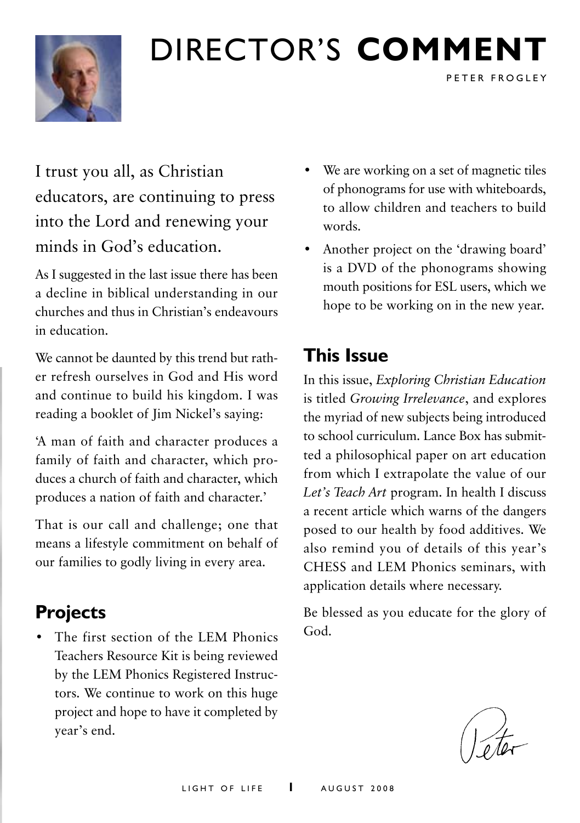

# Director's **comment**

I trust you all, as Christian educators, are continuing to press into the Lord and renewing your minds in God's education.

As I suggested in the last issue there has been a decline in biblical understanding in our churches and thus in Christian's endeavours in education.

We cannot be daunted by this trend but rather refresh ourselves in God and His word and continue to build his kingdom. I was reading a booklet of Jim Nickel's saying:

'A man of faith and character produces a family of faith and character, which produces a church of faith and character, which produces a nation of faith and character.'

That is our call and challenge; one that means a lifestyle commitment on behalf of our families to godly living in every area.

# **Projects**

• The first section of the LEM Phonics Teachers Resource Kit is being reviewed by the LEM Phonics Registered Instructors. We continue to work on this huge project and hope to have it completed by year's end.

• We are working on a set of magnetic tiles of phonograms for use with whiteboards, to allow children and teachers to build words.

P E T E R F R O G L E Y

• Another project on the 'drawing board' is a DVD of the phonograms showing mouth positions for ESL users, which we hope to be working on in the new year.

## **This Issue**

In this issue, *Exploring Christian Education* is titled *Growing Irrelevance*, and explores the myriad of new subjects being introduced to school curriculum. Lance Box has submitted a philosophical paper on art education from which I extrapolate the value of our *Let's Teach Art* program. In health I discuss a recent article which warns of the dangers posed to our health by food additives. We also remind you of details of this year's CHESS and LEM Phonics seminars, with application details where necessary.

Be blessed as you educate for the glory of God.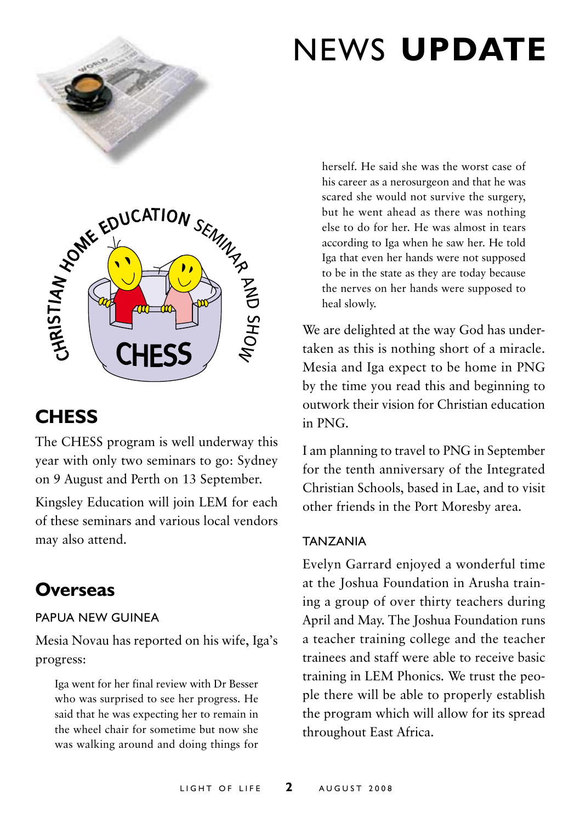

# news **update**



# **Chess**

The CHESS program is well underway this year with only two seminars to go: Sydney on 9 August and Perth on 13 September.

Kingsley Education will join LEM for each of these seminars and various local vendors may also attend.

## **Overseas**

### Papua New Guinea

Mesia Novau has reported on his wife, Iga's progress:

Iga went for her final review with Dr Besser who was surprised to see her progress. He said that he was expecting her to remain in the wheel chair for sometime but now she was walking around and doing things for herself. He said she was the worst case of his career as a nerosurgeon and that he was scared she would not survive the surgery, but he went ahead as there was nothing else to do for her. He was almost in tears according to Iga when he saw her. He told Iga that even her hands were not supposed to be in the state as they are today because the nerves on her hands were supposed to heal slowly.

We are delighted at the way God has undertaken as this is nothing short of a miracle. Mesia and Iga expect to be home in PNG by the time you read this and beginning to outwork their vision for Christian education in PNG.

I am planning to travel to PNG in September for the tenth anniversary of the Integrated Christian Schools, based in Lae, and to visit other friends in the Port Moresby area.

### **TAN7ANIA**

Evelyn Garrard enjoyed a wonderful time at the Joshua Foundation in Arusha training a group of over thirty teachers during April and May. The Joshua Foundation runs a teacher training college and the teacher trainees and staff were able to receive basic training in LEM Phonics. We trust the people there will be able to properly establish the program which will allow for its spread throughout East Africa.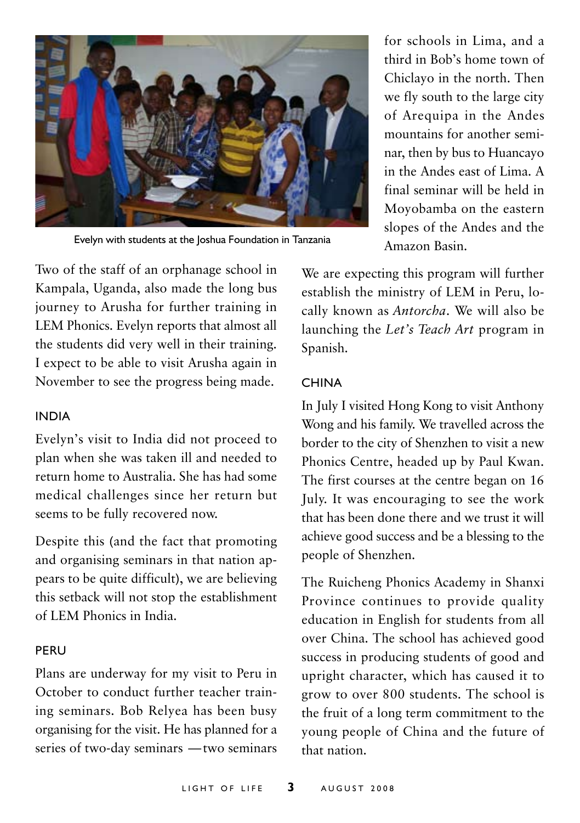

Evelyn with students at the Joshua Foundation in Tanzania

for schools in Lima, and a third in Bob's home town of Chiclayo in the north. Then we fly south to the large city of Arequipa in the Andes mountains for another seminar, then by bus to Huancayo in the Andes east of Lima. A final seminar will be held in Moyobamba on the eastern slopes of the Andes and the Amazon Basin.

Two of the staff of an orphanage school in Kampala, Uganda, also made the long bus journey to Arusha for further training in LEM Phonics. Evelyn reports that almost all the students did very well in their training. I expect to be able to visit Arusha again in November to see the progress being made.

#### **INDIA**

Evelyn's visit to India did not proceed to plan when she was taken ill and needed to return home to Australia. She has had some medical challenges since her return but seems to be fully recovered now.

Despite this (and the fact that promoting and organising seminars in that nation appears to be quite difficult), we are believing this setback will not stop the establishment of LEM Phonics in India.

#### Peru

Plans are underway for my visit to Peru in October to conduct further teacher training seminars. Bob Relyea has been busy organising for the visit. He has planned for a series of two-day seminars —two seminars

We are expecting this program will further establish the ministry of LEM in Peru, locally known as *Antorcha*. We will also be launching the *Let's Teach Art* program in Spanish.

#### China

In July I visited Hong Kong to visit Anthony Wong and his family. We travelled across the border to the city of Shenzhen to visit a new Phonics Centre, headed up by Paul Kwan. The first courses at the centre began on 16 July. It was encouraging to see the work that has been done there and we trust it will achieve good success and be a blessing to the people of Shenzhen.

The Ruicheng Phonics Academy in Shanxi Province continues to provide quality education in English for students from all over China. The school has achieved good success in producing students of good and upright character, which has caused it to grow to over 800 students. The school is the fruit of a long term commitment to the young people of China and the future of that nation.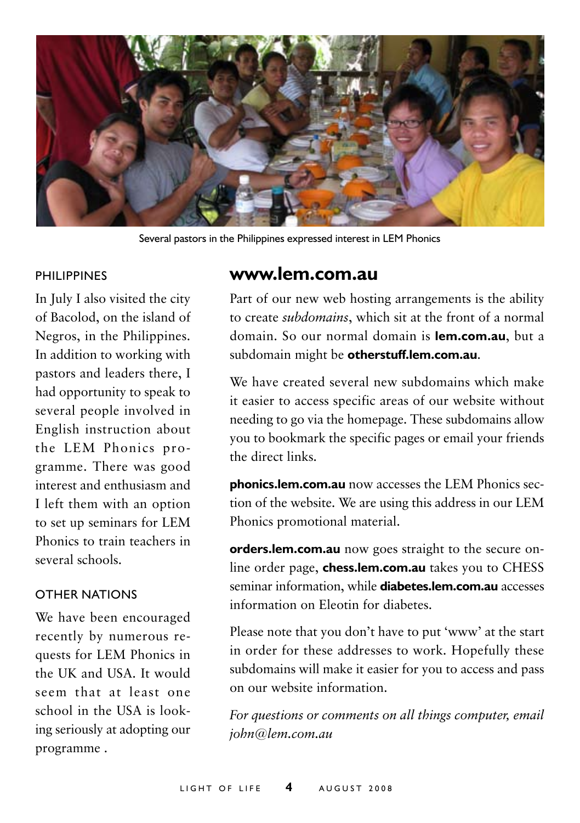

Several pastors in the Philippines expressed interest in LEM Phonics

#### PHII IPPINES

In July I also visited the city of Bacolod, on the island of Negros, in the Philippines. In addition to working with pastors and leaders there, I had opportunity to speak to several people involved in English instruction about the LEM Phonics programme. There was good interest and enthusiasm and I left them with an option to set up seminars for LEM Phonics to train teachers in several schools.

#### Other Nations

We have been encouraged recently by numerous requests for LEM Phonics in the UK and USA. It would seem that at least one school in the USA is looking seriously at adopting our programme .

## **www.lem.com.au**

Part of our new web hosting arrangements is the ability to create *subdomains*, which sit at the front of a normal domain. So our normal domain is **lem.com.au**, but a subdomain might be **otherstuff.lem.com.au**.

We have created several new subdomains which make it easier to access specific areas of our website without needing to go via the homepage. These subdomains allow you to bookmark the specific pages or email your friends the direct links.

**phonics.lem.com.au** now accesses the LEM Phonics section of the website. We are using this address in our LEM Phonics promotional material.

**orders.lem.com.au** now goes straight to the secure online order page, **chess.lem.com.au** takes you to CHESS seminar information, while **diabetes.lem.com.au** accesses information on Eleotin for diabetes.

Please note that you don't have to put 'www' at the start in order for these addresses to work. Hopefully these subdomains will make it easier for you to access and pass on our website information.

*For questions or comments on all things computer, email john@lem.com.au*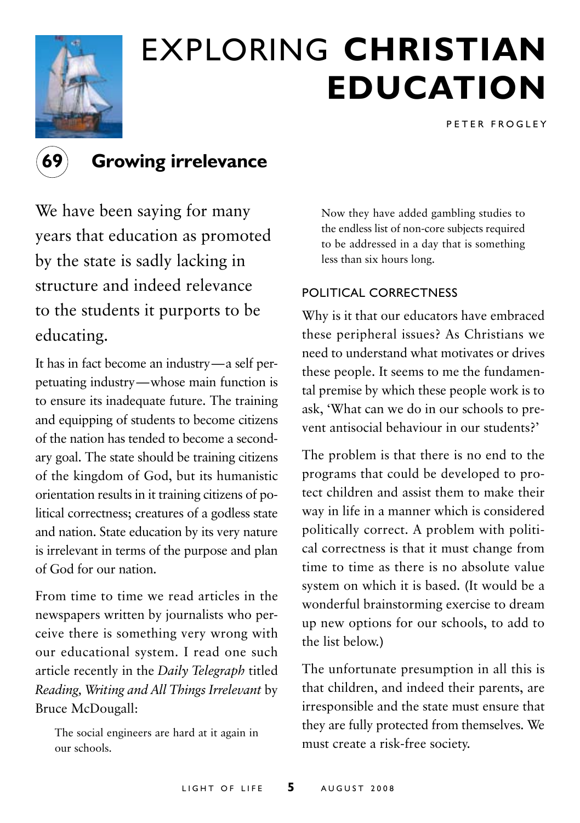

# exploring **christian education**

PFTER FROGLEY



## **69 Growing irrelevance**

We have been saying for many years that education as promoted by the state is sadly lacking in structure and indeed relevance to the students it purports to be educating.

It has in fact become an industry—a self perpetuating industry—whose main function is to ensure its inadequate future. The training and equipping of students to become citizens of the nation has tended to become a secondary goal. The state should be training citizens of the kingdom of God, but its humanistic orientation results in it training citizens of political correctness; creatures of a godless state and nation. State education by its very nature is irrelevant in terms of the purpose and plan of God for our nation.

From time to time we read articles in the newspapers written by journalists who perceive there is something very wrong with our educational system. I read one such article recently in the *Daily Telegraph* titled *Reading, Writing and All Things Irrelevant* by Bruce McDougall:

The social engineers are hard at it again in our schools.

Now they have added gambling studies to the endless list of non-core subjects required to be addressed in a day that is something less than six hours long.

### Political correctness

Why is it that our educators have embraced these peripheral issues? As Christians we need to understand what motivates or drives these people. It seems to me the fundamental premise by which these people work is to ask, 'What can we do in our schools to prevent antisocial behaviour in our students?'

The problem is that there is no end to the programs that could be developed to protect children and assist them to make their way in life in a manner which is considered politically correct. A problem with political correctness is that it must change from time to time as there is no absolute value system on which it is based. (It would be a wonderful brainstorming exercise to dream up new options for our schools, to add to the list below.)

The unfortunate presumption in all this is that children, and indeed their parents, are irresponsible and the state must ensure that they are fully protected from themselves. We must create a risk-free society.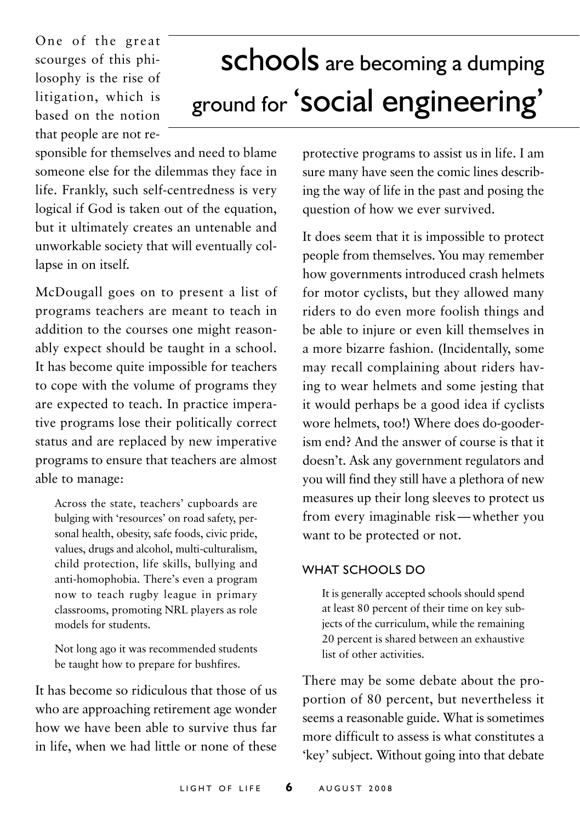One of the great scourges of this philosophy is the rise of litigation, which is based on the notion that people are not re-

# schools are becoming a dumping ground for 'social engineering'

sponsible for themselves and need to blame someone else for the dilemmas they face in life. Frankly, such self-centredness is very logical if God is taken out of the equation, but it ultimately creates an untenable and unworkable society that will eventually collapse in on itself.

McDougall goes on to present a list of programs teachers are meant to teach in addition to the courses one might reasonably expect should be taught in a school. It has become quite impossible for teachers to cope with the volume of programs they are expected to teach. In practice imperative programs lose their politically correct status and are replaced by new imperative programs to ensure that teachers are almost able to manage:

Across the state, teachers' cupboards are bulging with 'resources' on road safety, personal health, obesity, safe foods, civic pride, values, drugs and alcohol, multi-culturalism, child protection, life skills, bullying and anti-homophobia. There's even a program now to teach rugby league in primary classrooms, promoting NRL players as role models for students.

Not long ago it was recommended students be taught how to prepare for bushfires.

It has become so ridiculous that those of us who are approaching retirement age wonder how we have been able to survive thus far in life, when we had little or none of these

protective programs to assist us in life. I am sure many have seen the comic lines describing the way of life in the past and posing the question of how we ever survived.

It does seem that it is impossible to protect people from themselves. You may remember how governments introduced crash helmets for motor cyclists, but they allowed many riders to do even more foolish things and be able to injure or even kill themselves in a more bizarre fashion. (Incidentally, some may recall complaining about riders having to wear helmets and some jesting that it would perhaps be a good idea if cyclists wore helmets, too!) Where does do-gooderism end? And the answer of course is that it doesn't. Ask any government regulators and you will find they still have a plethora of new measures up their long sleeves to protect us from every imaginable risk—whether you want to be protected or not.

#### WHAT SCHOOLS DO

It is generally accepted schools should spend at least 80 percent of their time on key subjects of the curriculum, while the remaining 20 percent is shared between an exhaustive list of other activities.

There may be some debate about the proportion of 80 percent, but nevertheless it seems a reasonable guide. What is sometimes more difficult to assess is what constitutes a 'key' subject. Without going into that debate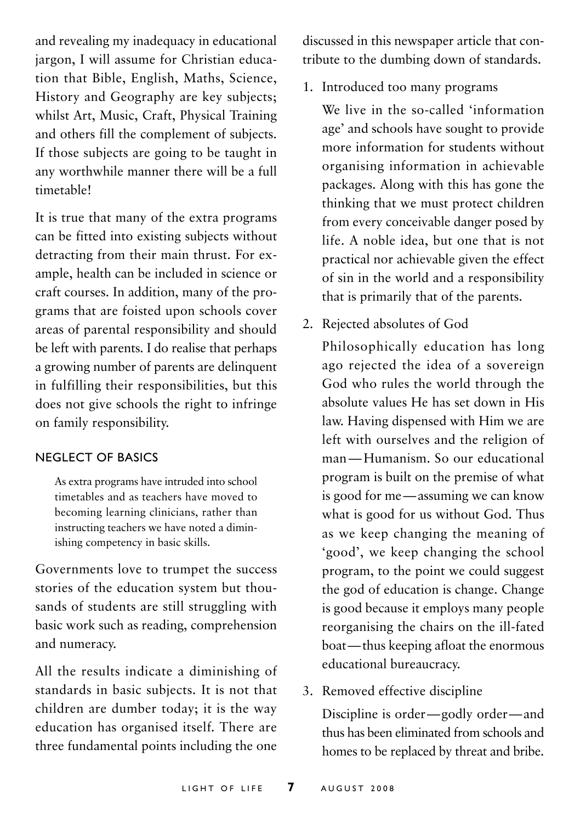and revealing my inadequacy in educational jargon, I will assume for Christian education that Bible, English, Maths, Science, History and Geography are key subjects; whilst Art, Music, Craft, Physical Training and others fill the complement of subjects. If those subjects are going to be taught in any worthwhile manner there will be a full timetable!

It is true that many of the extra programs can be fitted into existing subjects without detracting from their main thrust. For example, health can be included in science or craft courses. In addition, many of the programs that are foisted upon schools cover areas of parental responsibility and should be left with parents. I do realise that perhaps a growing number of parents are delinquent in fulfilling their responsibilities, but this does not give schools the right to infringe on family responsibility.

#### Neglect of basics

As extra programs have intruded into school timetables and as teachers have moved to becoming learning clinicians, rather than instructing teachers we have noted a diminishing competency in basic skills.

Governments love to trumpet the success stories of the education system but thousands of students are still struggling with basic work such as reading, comprehension and numeracy.

All the results indicate a diminishing of standards in basic subjects. It is not that children are dumber today; it is the way education has organised itself. There are three fundamental points including the one

discussed in this newspaper article that contribute to the dumbing down of standards.

1. Introduced too many programs

We live in the so-called 'information age' and schools have sought to provide more information for students without organising information in achievable packages. Along with this has gone the thinking that we must protect children from every conceivable danger posed by life. A noble idea, but one that is not practical nor achievable given the effect of sin in the world and a responsibility that is primarily that of the parents.

2. Rejected absolutes of God

Philosophically education has long ago rejected the idea of a sovereign God who rules the world through the absolute values He has set down in His law. Having dispensed with Him we are left with ourselves and the religion of man—Humanism. So our educational program is built on the premise of what is good for me—assuming we can know what is good for us without God. Thus as we keep changing the meaning of 'good', we keep changing the school program, to the point we could suggest the god of education is change. Change is good because it employs many people reorganising the chairs on the ill-fated boat—thus keeping afloat the enormous educational bureaucracy.

3. Removed effective discipline

Discipline is order—godly order—and thus has been eliminated from schools and homes to be replaced by threat and bribe.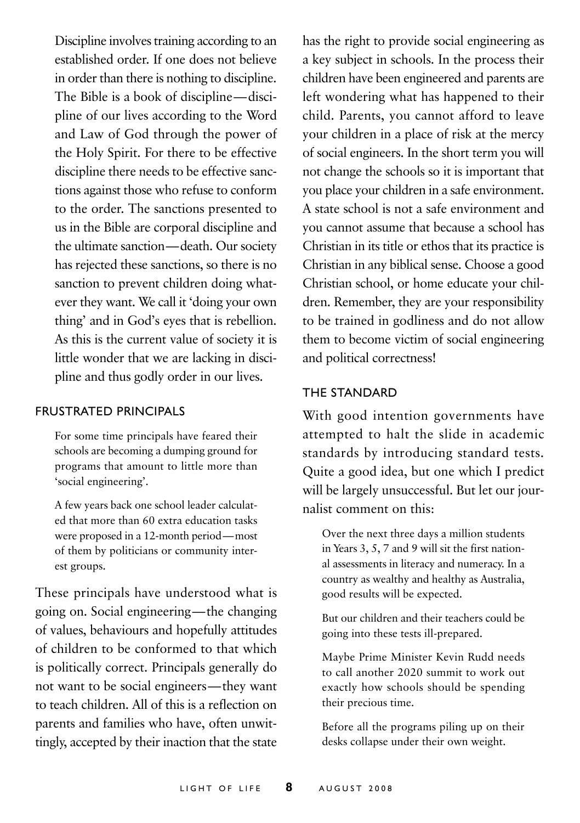Discipline involves training according to an established order. If one does not believe in order than there is nothing to discipline. The Bible is a book of discipline—discipline of our lives according to the Word and Law of God through the power of the Holy Spirit. For there to be effective discipline there needs to be effective sanctions against those who refuse to conform to the order. The sanctions presented to us in the Bible are corporal discipline and the ultimate sanction—death. Our society has rejected these sanctions, so there is no sanction to prevent children doing whatever they want. We call it 'doing your own thing' and in God's eyes that is rebellion. As this is the current value of society it is little wonder that we are lacking in discipline and thus godly order in our lives.

#### Frustrated principals

For some time principals have feared their schools are becoming a dumping ground for programs that amount to little more than 'social engineering'.

A few years back one school leader calculated that more than 60 extra education tasks were proposed in a 12-month period—most of them by politicians or community interest groups.

These principals have understood what is going on. Social engineering—the changing of values, behaviours and hopefully attitudes of children to be conformed to that which is politically correct. Principals generally do not want to be social engineers—they want to teach children. All of this is a reflection on parents and families who have, often unwittingly, accepted by their inaction that the state

has the right to provide social engineering as a key subject in schools. In the process their children have been engineered and parents are left wondering what has happened to their child. Parents, you cannot afford to leave your children in a place of risk at the mercy of social engineers. In the short term you will not change the schools so it is important that you place your children in a safe environment. A state school is not a safe environment and you cannot assume that because a school has Christian in its title or ethos that its practice is Christian in any biblical sense. Choose a good Christian school, or home educate your children. Remember, they are your responsibility to be trained in godliness and do not allow them to become victim of social engineering and political correctness!

#### The standard

With good intention governments have attempted to halt the slide in academic standards by introducing standard tests. Quite a good idea, but one which I predict will be largely unsuccessful. But let our journalist comment on this:

Over the next three days a million students in Years 3, 5, 7 and 9 will sit the first national assessments in literacy and numeracy. In a country as wealthy and healthy as Australia, good results will be expected.

But our children and their teachers could be going into these tests ill-prepared.

Maybe Prime Minister Kevin Rudd needs to call another 2020 summit to work out exactly how schools should be spending their precious time.

Before all the programs piling up on their desks collapse under their own weight.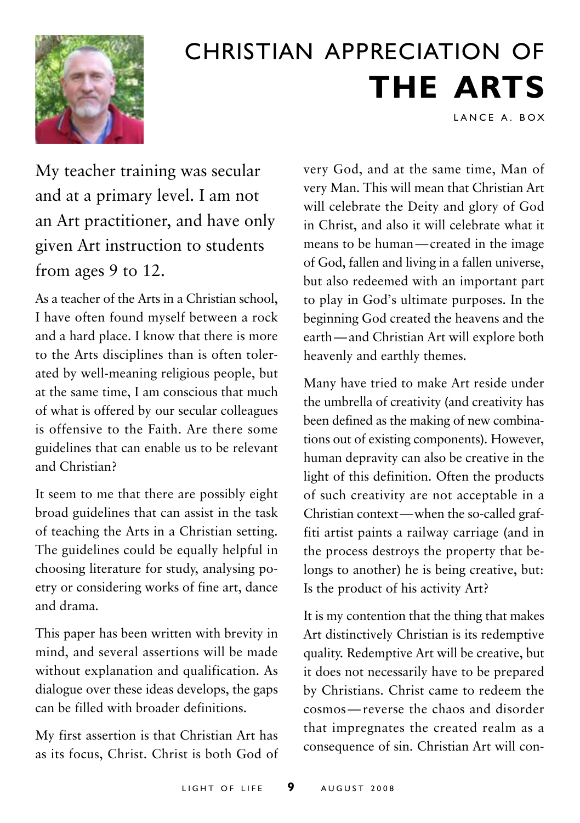

# Christian Appreciation of **the Arts**

LANCE A. BOX

My teacher training was secular and at a primary level. I am not an Art practitioner, and have only given Art instruction to students from ages 9 to 12.

As a teacher of the Arts in a Christian school, I have often found myself between a rock and a hard place. I know that there is more to the Arts disciplines than is often tolerated by well-meaning religious people, but at the same time, I am conscious that much of what is offered by our secular colleagues is offensive to the Faith. Are there some guidelines that can enable us to be relevant and Christian?

It seem to me that there are possibly eight broad guidelines that can assist in the task of teaching the Arts in a Christian setting. The guidelines could be equally helpful in choosing literature for study, analysing poetry or considering works of fine art, dance and drama.

This paper has been written with brevity in mind, and several assertions will be made without explanation and qualification. As dialogue over these ideas develops, the gaps can be filled with broader definitions.

My first assertion is that Christian Art has as its focus, Christ. Christ is both God of very God, and at the same time, Man of very Man. This will mean that Christian Art will celebrate the Deity and glory of God in Christ, and also it will celebrate what it means to be human—created in the image of God, fallen and living in a fallen universe, but also redeemed with an important part to play in God's ultimate purposes. In the beginning God created the heavens and the earth—and Christian Art will explore both heavenly and earthly themes.

Many have tried to make Art reside under the umbrella of creativity (and creativity has been defined as the making of new combinations out of existing components). However, human depravity can also be creative in the light of this definition. Often the products of such creativity are not acceptable in a Christian context—when the so-called graffiti artist paints a railway carriage (and in the process destroys the property that belongs to another) he is being creative, but: Is the product of his activity Art?

It is my contention that the thing that makes Art distinctively Christian is its redemptive quality. Redemptive Art will be creative, but it does not necessarily have to be prepared by Christians. Christ came to redeem the cosmos—reverse the chaos and disorder that impregnates the created realm as a consequence of sin. Christian Art will con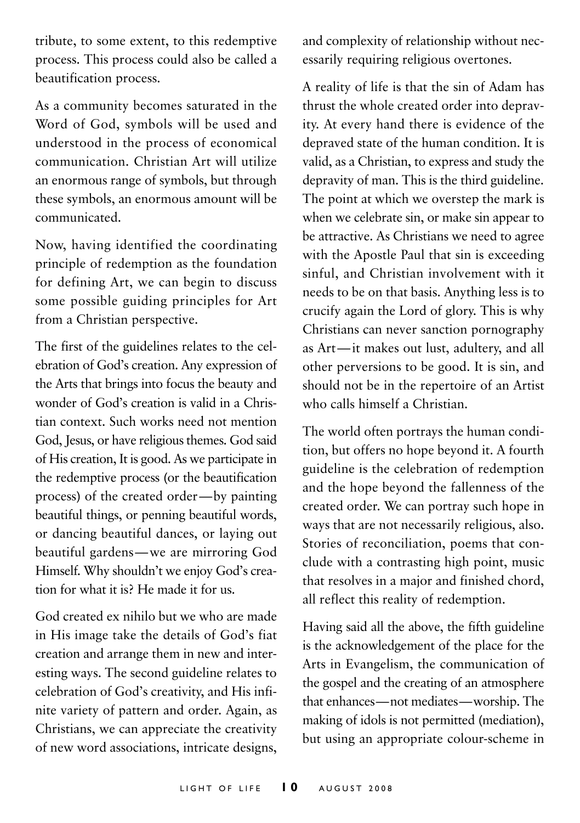tribute, to some extent, to this redemptive process. This process could also be called a beautification process.

As a community becomes saturated in the Word of God, symbols will be used and understood in the process of economical communication. Christian Art will utilize an enormous range of symbols, but through these symbols, an enormous amount will be communicated.

Now, having identified the coordinating principle of redemption as the foundation for defining Art, we can begin to discuss some possible guiding principles for Art from a Christian perspective.

The first of the guidelines relates to the celebration of God's creation. Any expression of the Arts that brings into focus the beauty and wonder of God's creation is valid in a Christian context. Such works need not mention God, Jesus, or have religious themes. God said of His creation, It is good. As we participate in the redemptive process (or the beautification process) of the created order—by painting beautiful things, or penning beautiful words, or dancing beautiful dances, or laying out beautiful gardens—we are mirroring God Himself. Why shouldn't we enjoy God's creation for what it is? He made it for us.

God created ex nihilo but we who are made in His image take the details of God's fiat creation and arrange them in new and interesting ways. The second guideline relates to celebration of God's creativity, and His infinite variety of pattern and order. Again, as Christians, we can appreciate the creativity of new word associations, intricate designs, and complexity of relationship without necessarily requiring religious overtones.

A reality of life is that the sin of Adam has thrust the whole created order into depravity. At every hand there is evidence of the depraved state of the human condition. It is valid, as a Christian, to express and study the depravity of man. This is the third guideline. The point at which we overstep the mark is when we celebrate sin, or make sin appear to be attractive. As Christians we need to agree with the Apostle Paul that sin is exceeding sinful, and Christian involvement with it needs to be on that basis. Anything less is to crucify again the Lord of glory. This is why Christians can never sanction pornography as Art—it makes out lust, adultery, and all other perversions to be good. It is sin, and should not be in the repertoire of an Artist who calls himself a Christian.

The world often portrays the human condition, but offers no hope beyond it. A fourth guideline is the celebration of redemption and the hope beyond the fallenness of the created order. We can portray such hope in ways that are not necessarily religious, also. Stories of reconciliation, poems that conclude with a contrasting high point, music that resolves in a major and finished chord, all reflect this reality of redemption.

Having said all the above, the fifth guideline is the acknowledgement of the place for the Arts in Evangelism, the communication of the gospel and the creating of an atmosphere that enhances—not mediates—worship. The making of idols is not permitted (mediation), but using an appropriate colour-scheme in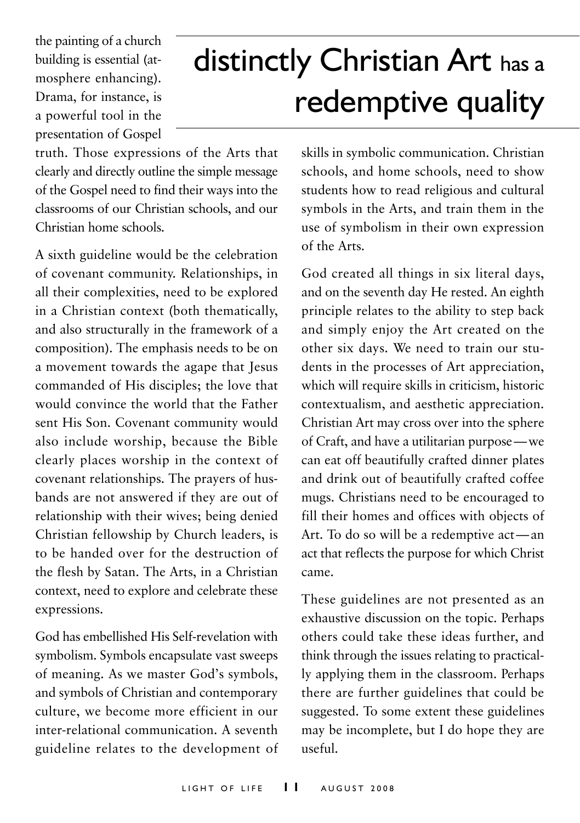the painting of a church building is essential (atmosphere enhancing). Drama, for instance, is a powerful tool in the presentation of Gospel

# distinctly Christian Art has <sup>a</sup> redemptive quality

truth. Those expressions of the Arts that clearly and directly outline the simple message of the Gospel need to find their ways into the classrooms of our Christian schools, and our Christian home schools.

A sixth guideline would be the celebration of covenant community. Relationships, in all their complexities, need to be explored in a Christian context (both thematically, and also structurally in the framework of a composition). The emphasis needs to be on a movement towards the agape that Jesus commanded of His disciples; the love that would convince the world that the Father sent His Son. Covenant community would also include worship, because the Bible clearly places worship in the context of covenant relationships. The prayers of husbands are not answered if they are out of relationship with their wives; being denied Christian fellowship by Church leaders, is to be handed over for the destruction of the flesh by Satan. The Arts, in a Christian context, need to explore and celebrate these expressions.

God has embellished His Self-revelation with symbolism. Symbols encapsulate vast sweeps of meaning. As we master God's symbols, and symbols of Christian and contemporary culture, we become more efficient in our inter-relational communication. A seventh guideline relates to the development of skills in symbolic communication. Christian schools, and home schools, need to show students how to read religious and cultural symbols in the Arts, and train them in the use of symbolism in their own expression of the Arts.

God created all things in six literal days, and on the seventh day He rested. An eighth principle relates to the ability to step back and simply enjoy the Art created on the other six days. We need to train our students in the processes of Art appreciation, which will require skills in criticism, historic contextualism, and aesthetic appreciation. Christian Art may cross over into the sphere of Craft, and have a utilitarian purpose—we can eat off beautifully crafted dinner plates and drink out of beautifully crafted coffee mugs. Christians need to be encouraged to fill their homes and offices with objects of Art. To do so will be a redemptive act—an act that reflects the purpose for which Christ came.

These guidelines are not presented as an exhaustive discussion on the topic. Perhaps others could take these ideas further, and think through the issues relating to practically applying them in the classroom. Perhaps there are further guidelines that could be suggested. To some extent these guidelines may be incomplete, but I do hope they are useful.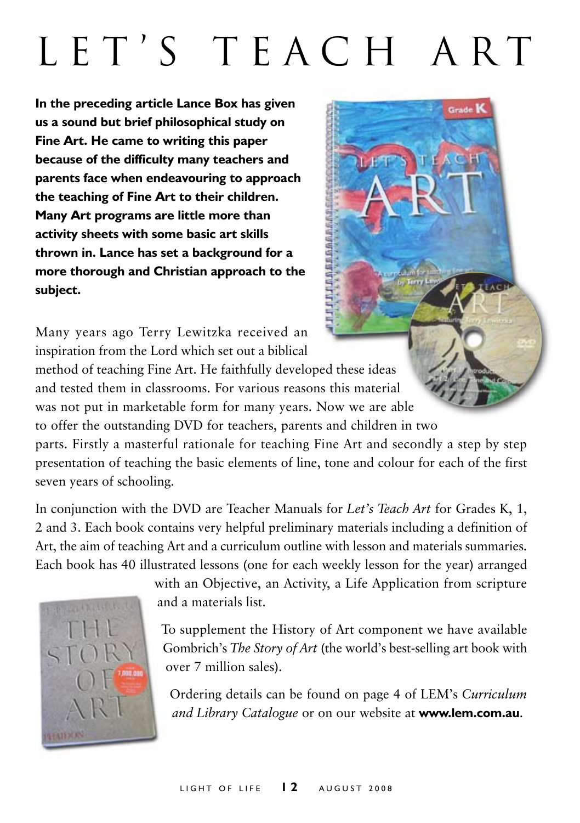# L E T ' S T E A C H A R T

Grade<sup>1</sup>

**In the preceding article Lance Box has given us a sound but brief philosophical study on Fine Art. He came to writing this paper because of the difficulty many teachers and parents face when endeavouring to approach the teaching of Fine Art to their children. Many Art programs are little more than activity sheets with some basic art skills thrown in. Lance has set a background for a more thorough and Christian approach to the subject.**

Many years ago Terry Lewitzka received an inspiration from the Lord which set out a biblical

method of teaching Fine Art. He faithfully developed these ideas and tested them in classrooms. For various reasons this material was not put in marketable form for many years. Now we are able to offer the outstanding DVD for teachers, parents and children in two

parts. Firstly a masterful rationale for teaching Fine Art and secondly a step by step presentation of teaching the basic elements of line, tone and colour for each of the first seven years of schooling.

In conjunction with the DVD are Teacher Manuals for *Let's Teach Art* for Grades K, 1, 2 and 3. Each book contains very helpful preliminary materials including a definition of Art, the aim of teaching Art and a curriculum outline with lesson and materials summaries. Each book has 40 illustrated lessons (one for each weekly lesson for the year) arranged



with an Objective, an Activity, a Life Application from scripture and a materials list.

To supplement the History of Art component we have available Gombrich's *The Story of Art* (the world's best-selling art book with over 7 million sales).

Ordering details can be found on page 4 of LEM's *Curriculum and Library Catalogue* or on our website at **www.lem.com.au**.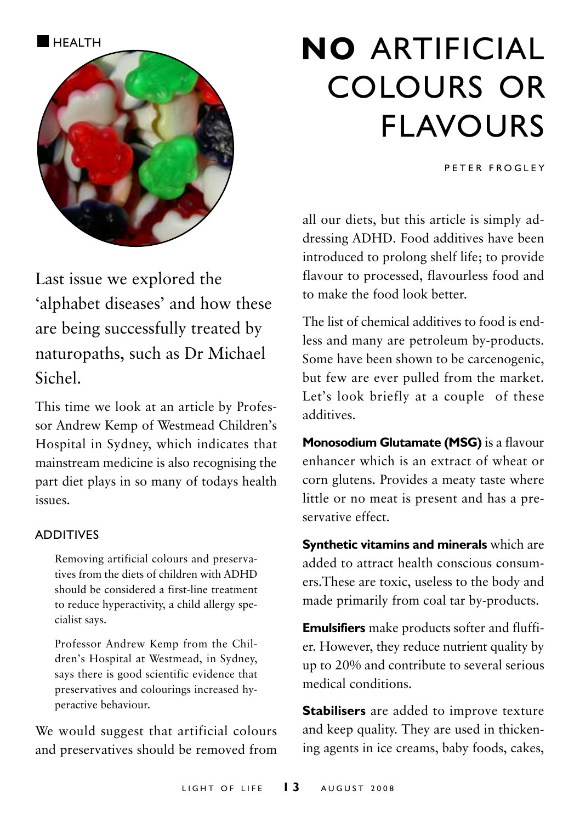

# Last issue we explored the 'alphabet diseases' and how these are being successfully treated by naturopaths, such as Dr Michael Sichel.

This time we look at an article by Professor Andrew Kemp of Westmead Children's Hospital in Sydney, which indicates that mainstream medicine is also recognising the part diet plays in so many of todays health issues.

#### **ADDITIVES**

Removing artificial colours and preservatives from the diets of children with ADHD should be considered a first-line treatment to reduce hyperactivity, a child allergy specialist says.

Professor Andrew Kemp from the Children's Hospital at Westmead, in Sydney, says there is good scientific evidence that preservatives and colourings increased hyperactive behaviour.

We would suggest that artificial colours and preservatives should be removed from

# **HEALTH NO ARTIFICIAL** colours or flavours

P E T E R E R O G L E Y

all our diets, but this article is simply addressing ADHD. Food additives have been introduced to prolong shelf life; to provide flavour to processed, flavourless food and to make the food look better.

The list of chemical additives to food is endless and many are petroleum by-products. Some have been shown to be carcenogenic, but few are ever pulled from the market. Let's look briefly at a couple of these additives.

**Monosodium Glutamate (MSG)** is a flavour enhancer which is an extract of wheat or corn glutens. Provides a meaty taste where little or no meat is present and has a preservative effect.

**Synthetic vitamins and minerals** which are added to attract health conscious consumers.These are toxic, useless to the body and made primarily from coal tar by-products.

**Emulsifiers** make products softer and fluffier. However, they reduce nutrient quality by up to 20% and contribute to several serious medical conditions.

**Stabilisers** are added to improve texture and keep quality. They are used in thickening agents in ice creams, baby foods, cakes,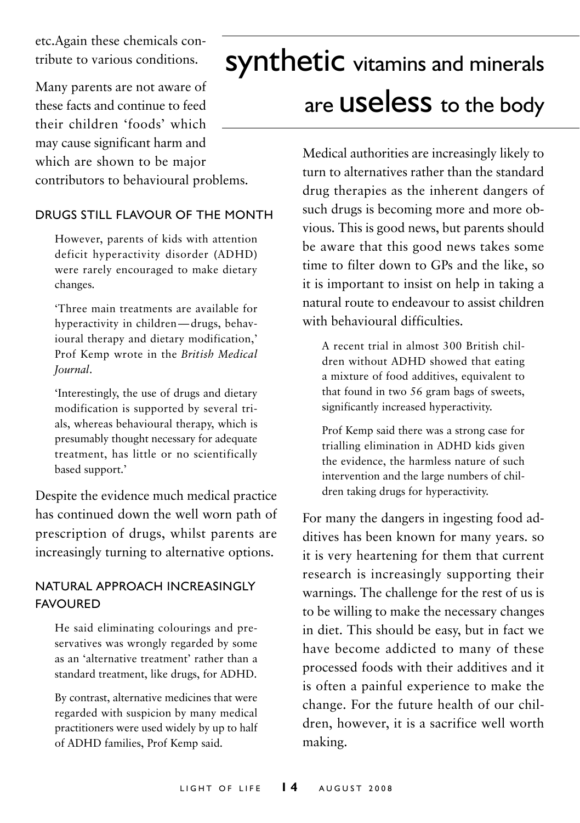etc.Again these chemicals contribute to various conditions.

Many parents are not aware of these facts and continue to feed their children 'foods' which may cause significant harm and which are shown to be major contributors to behavioural problems.

### DRUGS STILL FLAVOUR OF THE MONTH

However, parents of kids with attention deficit hyperactivity disorder (ADHD) were rarely encouraged to make dietary changes.

'Three main treatments are available for hyperactivity in children—drugs, behavioural therapy and dietary modification,' Prof Kemp wrote in the *British Medical Journal*.

'Interestingly, the use of drugs and dietary modification is supported by several trials, whereas behavioural therapy, which is presumably thought necessary for adequate treatment, has little or no scientifically based support.'

Despite the evidence much medical practice has continued down the well worn path of prescription of drugs, whilst parents are increasingly turning to alternative options.

### Natural Approach Increasingly **FAVOURED**

He said eliminating colourings and preservatives was wrongly regarded by some as an 'alternative treatment' rather than a standard treatment, like drugs, for ADHD.

By contrast, alternative medicines that were regarded with suspicion by many medical practitioners were used widely by up to half of ADHD families, Prof Kemp said.

# synthetic vitamins and minerals are **USeleSS** to the body

Medical authorities are increasingly likely to turn to alternatives rather than the standard drug therapies as the inherent dangers of such drugs is becoming more and more obvious. This is good news, but parents should be aware that this good news takes some time to filter down to GPs and the like, so it is important to insist on help in taking a natural route to endeavour to assist children with behavioural difficulties.

A recent trial in almost 300 British children without ADHD showed that eating a mixture of food additives, equivalent to that found in two 56 gram bags of sweets, significantly increased hyperactivity.

Prof Kemp said there was a strong case for trialling elimination in ADHD kids given the evidence, the harmless nature of such intervention and the large numbers of children taking drugs for hyperactivity.

For many the dangers in ingesting food additives has been known for many years. so it is very heartening for them that current research is increasingly supporting their warnings. The challenge for the rest of us is to be willing to make the necessary changes in diet. This should be easy, but in fact we have become addicted to many of these processed foods with their additives and it is often a painful experience to make the change. For the future health of our children, however, it is a sacrifice well worth making.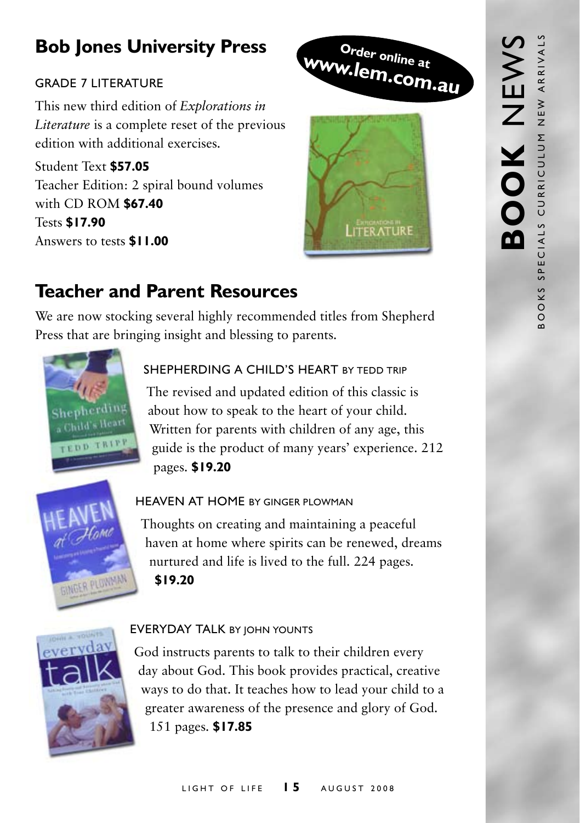# **Bob Jones University Press**

## Grade 7 Literature

This new third edition of *Explorations in Literature* is a complete reset of the previous edition with additional exercises.

Student Text **\$57.05** Teacher Edition: 2 spiral bound volumes with CD ROM **\$67.40** Tests **\$17.90** Answers to tests **\$11.00**





# **Teacher and Parent Resources**

We are now stocking several highly recommended titles from Shepherd Press that are bringing insight and blessing to parents.



## SHEPHERDING A CHILD'S HEART BY TEDD TRIP

The revised and updated edition of this classic is about how to speak to the heart of your child. Written for parents with children of any age, this guide is the product of many years' experience. 212 pages. **\$19.20**



### HEAVEN AT HOME BY GINGER PLOWMAN

Thoughts on creating and maintaining a peaceful haven at home where spirits can be renewed, dreams nurtured and life is lived to the full. 224 pages. **\$19.20**



### **EVERYDAY TALK BY JOHN YOUNTS**

God instructs parents to talk to their children every day about God. This book provides practical, creative ways to do that. It teaches how to lead your child to a greater awareness of the presence and glory of God. 151 pages. **\$17.85**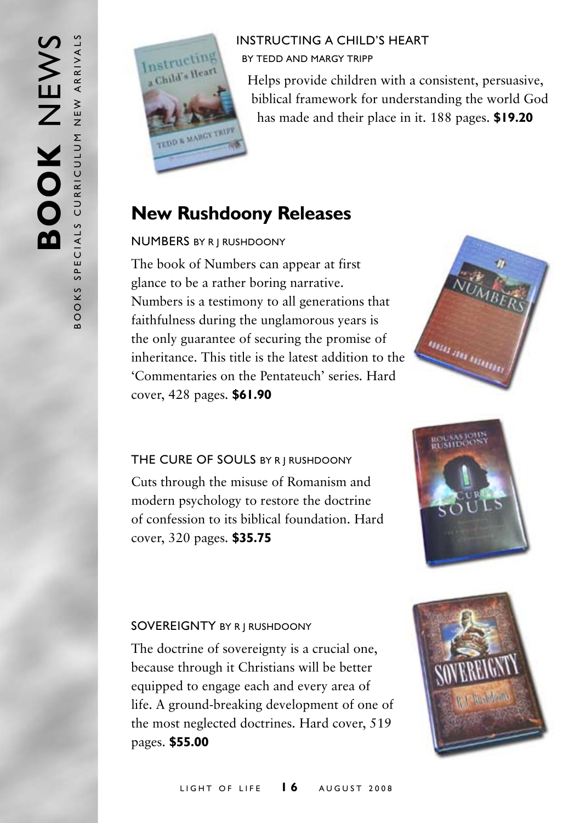

## Instructing a Child's Heart by Tedd and Margy Tripp

Helps provide children with a consistent, persuasive, biblical framework for understanding the world God has made and their place in it. 188 pages. **\$19.20**

## **New Rushdoony Releases**

## Numbers by R J Rushdoony

The book of Numbers can appear at first glance to be a rather boring narrative. Numbers is a testimony to all generations that faithfulness during the unglamorous years is the only guarantee of securing the promise of inheritance. This title is the latest addition to the 'Commentaries on the Pentateuch' series. Hard cover, 428 pages. **\$61.90**



## THE CURE OF SOULS BY R | RUSHDOONY

Cuts through the misuse of Romanism and modern psychology to restore the doctrine of confession to its biblical foundation. Hard cover, 320 pages. **\$35.75**



### SOVEREIGNTY BY R J RUSHDOONY

The doctrine of sovereignty is a crucial one, because through it Christians will be better equipped to engage each and every area of life. A ground-breaking development of one of the most neglected doctrines. Hard cover, 519 pages. **\$55.00**

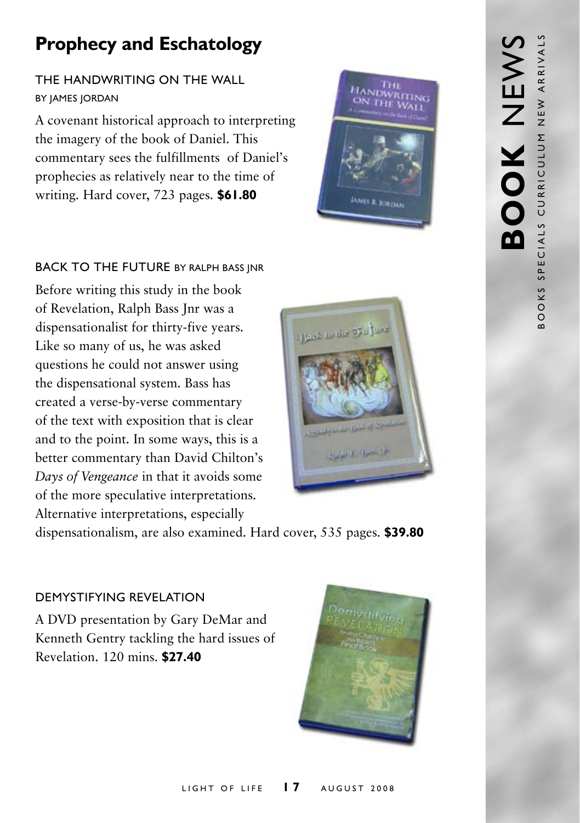# **Prophecy and Eschatology**

## The Handwriting on the Wall **BY JAMES JORDAN**

A covenant historical approach to interpreting the imagery of the book of Daniel. This commentary sees the fulfillments of Daniel's prophecies as relatively near to the time of writing. Hard cover, 723 pages. **\$61.80**



### BACK TO THE FUTURE BY RALPH BASS INR

Before writing this study in the book of Revelation, Ralph Bass Jnr was a dispensationalist for thirty-five years. Like so many of us, he was asked questions he could not answer using the dispensational system. Bass has created a verse-by-verse commentary of the text with exposition that is clear and to the point. In some ways, this is a better commentary than David Chilton's *Days of Vengeance* in that it avoids some of the more speculative interpretations. Alternative interpretations, especially



dispensationalism, are also examined. Hard cover, 535 pages. **\$39.80**

### Demystifying Revelation

A DVD presentation by Gary DeMar and Kenneth Gentry tackling the hard issues of Revelation. 120 mins. **\$27.40**

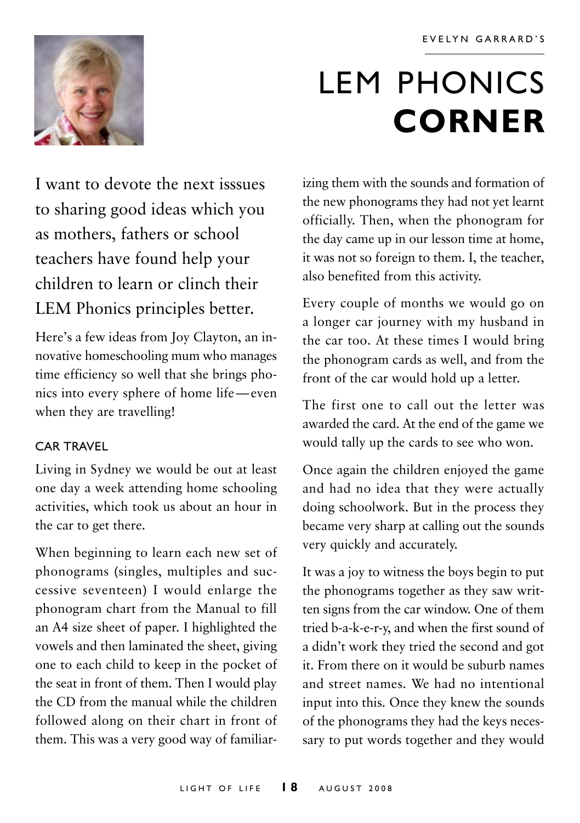

# LEM PHONICS **corner**

I want to devote the next isssues to sharing good ideas which you as mothers, fathers or school teachers have found help your children to learn or clinch their LEM Phonics principles better.

Here's a few ideas from Joy Clayton, an innovative homeschooling mum who manages time efficiency so well that she brings phonics into every sphere of home life—even when they are travelling!

### Car Travel

Living in Sydney we would be out at least one day a week attending home schooling activities, which took us about an hour in the car to get there.

When beginning to learn each new set of phonograms (singles, multiples and successive seventeen) I would enlarge the phonogram chart from the Manual to fill an A4 size sheet of paper. I highlighted the vowels and then laminated the sheet, giving one to each child to keep in the pocket of the seat in front of them. Then I would play the CD from the manual while the children followed along on their chart in front of them. This was a very good way of familiar-

izing them with the sounds and formation of the new phonograms they had not yet learnt officially. Then, when the phonogram for the day came up in our lesson time at home, it was not so foreign to them. I, the teacher, also benefited from this activity.

Every couple of months we would go on a longer car journey with my husband in the car too. At these times I would bring the phonogram cards as well, and from the front of the car would hold up a letter.

The first one to call out the letter was awarded the card. At the end of the game we would tally up the cards to see who won.

Once again the children enjoyed the game and had no idea that they were actually doing schoolwork. But in the process they became very sharp at calling out the sounds very quickly and accurately.

It was a joy to witness the boys begin to put the phonograms together as they saw written signs from the car window. One of them tried b-a-k-e-r-y, and when the first sound of a didn't work they tried the second and got it. From there on it would be suburb names and street names. We had no intentional input into this. Once they knew the sounds of the phonograms they had the keys necessary to put words together and they would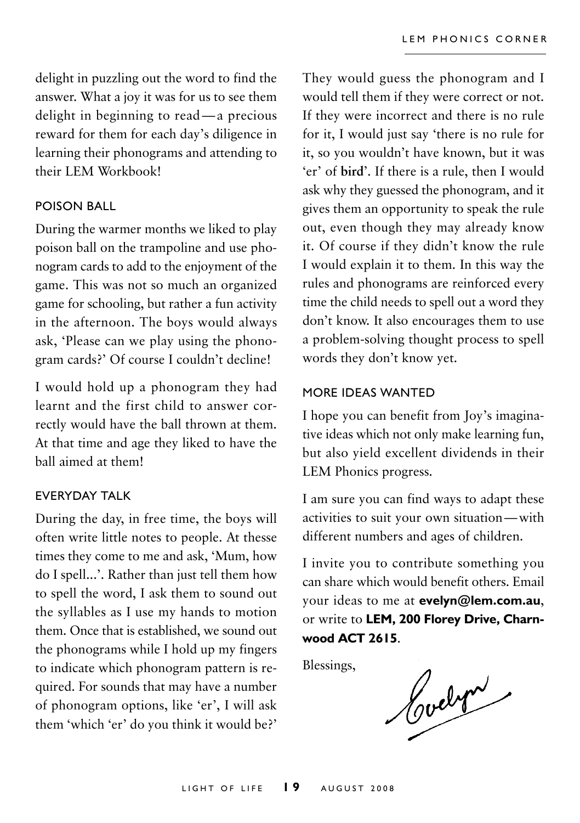delight in puzzling out the word to find the answer. What a joy it was for us to see them delight in beginning to read—a precious reward for them for each day's diligence in learning their phonograms and attending to their LEM Workbook!

#### Poison Ball

During the warmer months we liked to play poison ball on the trampoline and use phonogram cards to add to the enjoyment of the game. This was not so much an organized game for schooling, but rather a fun activity in the afternoon. The boys would always ask, 'Please can we play using the phonogram cards?' Of course I couldn't decline!

I would hold up a phonogram they had learnt and the first child to answer correctly would have the ball thrown at them. At that time and age they liked to have the ball aimed at them!

### Everyday Talk

During the day, in free time, the boys will often write little notes to people. At thesse times they come to me and ask, 'Mum, how do I spell...'. Rather than just tell them how to spell the word, I ask them to sound out the syllables as I use my hands to motion them. Once that is established, we sound out the phonograms while I hold up my fingers to indicate which phonogram pattern is required. For sounds that may have a number of phonogram options, like 'er', I will ask them 'which 'er' do you think it would be?' They would guess the phonogram and I would tell them if they were correct or not. If they were incorrect and there is no rule for it, I would just say 'there is no rule for it, so you wouldn't have known, but it was 'er' of **bird**'. If there is a rule, then I would ask why they guessed the phonogram, and it gives them an opportunity to speak the rule out, even though they may already know it. Of course if they didn't know the rule I would explain it to them. In this way the rules and phonograms are reinforced every time the child needs to spell out a word they don't know. It also encourages them to use a problem-solving thought process to spell words they don't know yet.

#### more ideas wanted

I hope you can benefit from Joy's imaginative ideas which not only make learning fun, but also yield excellent dividends in their LEM Phonics progress.

I am sure you can find ways to adapt these activities to suit your own situation—with different numbers and ages of children.

I invite you to contribute something you can share which would benefit others. Email your ideas to me at **evelyn@lem.com.au**, or write to **LEM, 200 Florey Drive, Charnwood ACT 2615**.

Blessings,

Cochri